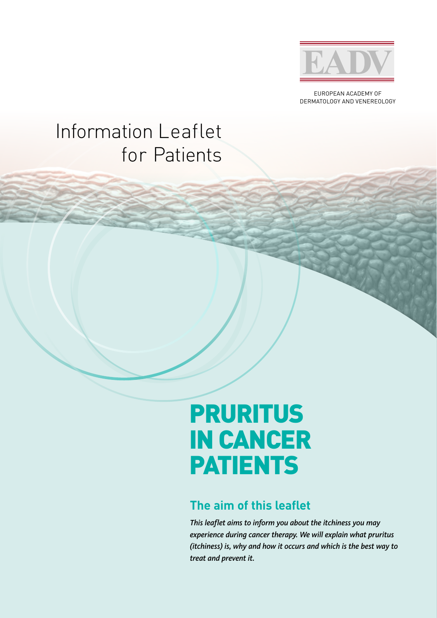

EUROPEAN ACADEMY OF DERMATOLOGY AND VENEREOLOGY

## Information Leaflet for Patients

# PRURITUS IN CANCER PATIENTS

### **The aim of this leaflet**

*This leaflet aims to inform you about the itchiness you may experience during cancer therapy. We will explain what pruritus (itchiness) is, why and how it occurs and which is the best way to treat and prevent it.*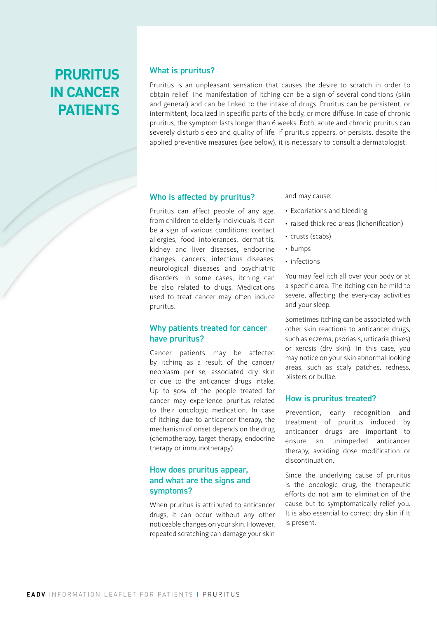### **PRURITUS IN CANCER PATIENTS**

#### What is pruritus?

Pruritus is an unpleasant sensation that causes the desire to scratch in order to obtain relief. The manifestation of itching can be a sign of several conditions (skin and general) and can be linked to the intake of drugs. Pruritus can be persistent, or intermittent, localized in specific parts of the body, or more diffuse. In case of chronic pruritus, the symptom lasts longer than 6 weeks. Both, acute and chronic pruritus can severely disturb sleep and quality of life. If pruritus appears, or persists, despite the applied preventive measures (see below), it is necessary to consult a dermatologist.

#### Who is affected by pruritus?

Pruritus can affect people of any age, from children to elderly individuals. It can be a sign of various conditions: contact allergies, food intolerances, dermatitis, kidney and liver diseases, endocrine changes, cancers, infectious diseases, neurological diseases and psychiatric disorders. In some cases, itching can be also related to drugs. Medications used to treat cancer may often induce pruritus.

#### Why patients treated for cancer have pruritus?

Cancer patients may be affected by itching as a result of the cancer/ neoplasm per se, associated dry skin or due to the anticancer drugs intake. Up to 50% of the people treated for cancer may experience pruritus related to their oncologic medication. In case of itching due to anticancer therapy, the mechanism of onset depends on the drug (chemotherapy, target therapy, endocrine therapy or immunotherapy).

#### How does pruritus appear, and what are the signs and symptoms?

When pruritus is attributed to anticancer drugs, it can occur without any other noticeable changes on your skin. However, repeated scratching can damage your skin and may cause:

- Excoriations and bleeding
- raised thick red areas (lichenification)
- crusts (scabs)
- bumps
- infections

You may feel itch all over your body or at a specific area. The itching can be mild to severe, affecting the every-day activities and your sleep.

Sometimes itching can be associated with other skin reactions to anticancer drugs, such as eczema, psoriasis, urticaria (hives) or xerosis (dry skin). In this case, you may notice on your skin abnormal-looking areas, such as scaly patches, redness, blisters or bullae.

#### How is pruritus treated?

Prevention, early recognition and treatment of pruritus induced by anticancer drugs are important to ensure an unimpeded anticancer therapy, avoiding dose modification or discontinuation.

Since the underlying cause of pruritus is the oncologic drug, the therapeutic efforts do not aim to elimination of the cause but to symptomatically relief you. It is also essential to correct dry skin if it is present.